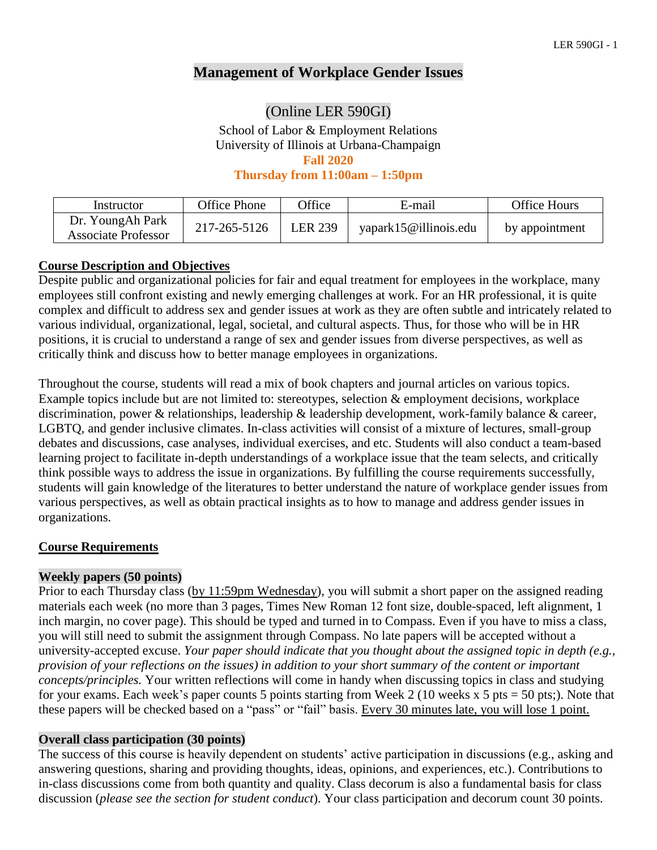# **Management of Workplace Gender Issues**

# (Online LER 590GI)

School of Labor & Employment Relations University of Illinois at Urbana-Champaign **Fall 2020**

**Thursday from 11:00am – 1:50pm**

| Instructor                                     | Office Phone | <b>Office</b> | E-mail                | <b>Office Hours</b> |
|------------------------------------------------|--------------|---------------|-----------------------|---------------------|
| Dr. YoungAh Park<br><b>Associate Professor</b> | 217-265-5126 | LER 239       | yapark15@illinois.edu | by appointment      |

#### **Course Description and Objectives**

Despite public and organizational policies for fair and equal treatment for employees in the workplace, many employees still confront existing and newly emerging challenges at work. For an HR professional, it is quite complex and difficult to address sex and gender issues at work as they are often subtle and intricately related to various individual, organizational, legal, societal, and cultural aspects. Thus, for those who will be in HR positions, it is crucial to understand a range of sex and gender issues from diverse perspectives, as well as critically think and discuss how to better manage employees in organizations.

Throughout the course, students will read a mix of book chapters and journal articles on various topics. Example topics include but are not limited to: stereotypes, selection & employment decisions, workplace discrimination, power & relationships, leadership & leadership development, work-family balance & career, LGBTQ, and gender inclusive climates. In-class activities will consist of a mixture of lectures, small-group debates and discussions, case analyses, individual exercises, and etc. Students will also conduct a team-based learning project to facilitate in-depth understandings of a workplace issue that the team selects, and critically think possible ways to address the issue in organizations. By fulfilling the course requirements successfully, students will gain knowledge of the literatures to better understand the nature of workplace gender issues from various perspectives, as well as obtain practical insights as to how to manage and address gender issues in organizations.

# **Course Requirements**

#### **Weekly papers (50 points)**

Prior to each Thursday class (by 11:59pm Wednesday), you will submit a short paper on the assigned reading materials each week (no more than 3 pages, Times New Roman 12 font size, double-spaced, left alignment, 1 inch margin, no cover page). This should be typed and turned in to Compass. Even if you have to miss a class, you will still need to submit the assignment through Compass. No late papers will be accepted without a university-accepted excuse. *Your paper should indicate that you thought about the assigned topic in depth (e.g., provision of your reflections on the issues) in addition to your short summary of the content or important concepts/principles.* Your written reflections will come in handy when discussing topics in class and studying for your exams. Each week's paper counts 5 points starting from Week 2 (10 weeks x 5 pts = 50 pts;). Note that these papers will be checked based on a "pass" or "fail" basis. Every 30 minutes late, you will lose 1 point.

#### **Overall class participation (30 points)**

The success of this course is heavily dependent on students' active participation in discussions (e.g., asking and answering questions, sharing and providing thoughts, ideas, opinions, and experiences, etc.). Contributions to in-class discussions come from both quantity and quality. Class decorum is also a fundamental basis for class discussion (*please see the section for student conduct*). Your class participation and decorum count 30 points.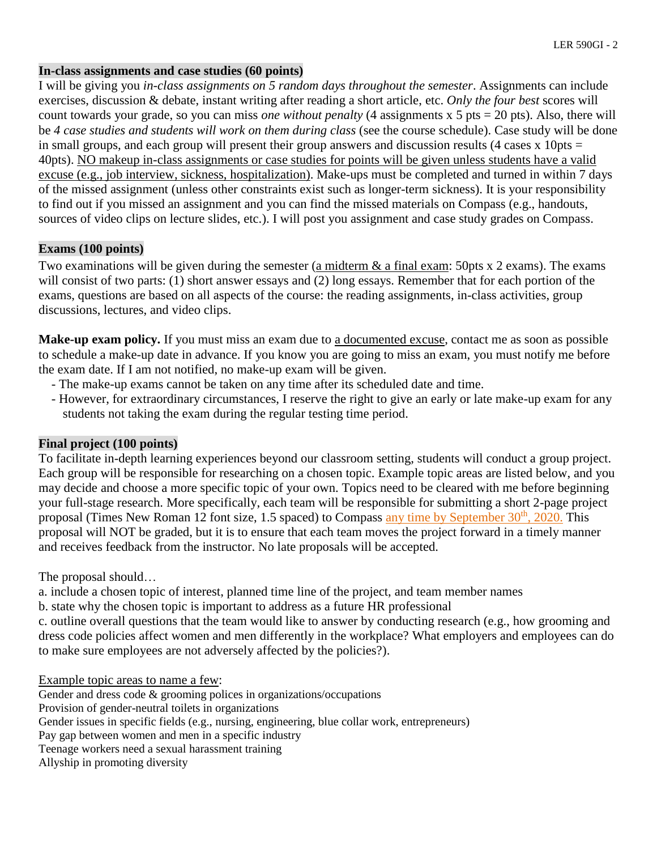#### **In-class assignments and case studies (60 points)**

I will be giving you *in-class assignments on 5 random days throughout the semester*. Assignments can include exercises, discussion & debate, instant writing after reading a short article, etc. *Only the four best* scores will count towards your grade, so you can miss *one without penalty* (4 assignments x 5 pts = 20 pts). Also, there will be *4 case studies and students will work on them during class* (see the course schedule). Case study will be done in small groups, and each group will present their group answers and discussion results (4 cases x 10pts  $=$ 40pts). NO makeup in-class assignments or case studies for points will be given unless students have a valid excuse (e.g., job interview, sickness, hospitalization). Make-ups must be completed and turned in within 7 days of the missed assignment (unless other constraints exist such as longer-term sickness). It is your responsibility to find out if you missed an assignment and you can find the missed materials on Compass (e.g., handouts, sources of video clips on lecture slides, etc.). I will post you assignment and case study grades on Compass.

## **Exams (100 points)**

Two examinations will be given during the semester (a midterm & a final exam: 50pts x 2 exams). The exams will consist of two parts: (1) short answer essays and (2) long essays. Remember that for each portion of the exams, questions are based on all aspects of the course: the reading assignments, in-class activities, group discussions, lectures, and video clips.

Make-up exam policy. If you must miss an exam due to a documented excuse, contact me as soon as possible to schedule a make-up date in advance. If you know you are going to miss an exam, you must notify me before the exam date. If I am not notified, no make-up exam will be given.

- The make-up exams cannot be taken on any time after its scheduled date and time.
- However, for extraordinary circumstances, I reserve the right to give an early or late make-up exam for any students not taking the exam during the regular testing time period.

#### **Final project (100 points)**

To facilitate in-depth learning experiences beyond our classroom setting, students will conduct a group project. Each group will be responsible for researching on a chosen topic. Example topic areas are listed below, and you may decide and choose a more specific topic of your own. Topics need to be cleared with me before beginning your full-stage research. More specifically, each team will be responsible for submitting a short 2-page project proposal (Times New Roman 12 font size, 1.5 spaced) to Compass any time by September 30<sup>th</sup>, 2020. This proposal will NOT be graded, but it is to ensure that each team moves the project forward in a timely manner and receives feedback from the instructor. No late proposals will be accepted.

The proposal should…

a. include a chosen topic of interest, planned time line of the project, and team member names

b. state why the chosen topic is important to address as a future HR professional

c. outline overall questions that the team would like to answer by conducting research (e.g., how grooming and dress code policies affect women and men differently in the workplace? What employers and employees can do to make sure employees are not adversely affected by the policies?).

#### Example topic areas to name a few:

Gender and dress code & grooming polices in organizations/occupations Provision of gender-neutral toilets in organizations Gender issues in specific fields (e.g., nursing, engineering, blue collar work, entrepreneurs) Pay gap between women and men in a specific industry Teenage workers need a sexual harassment training Allyship in promoting diversity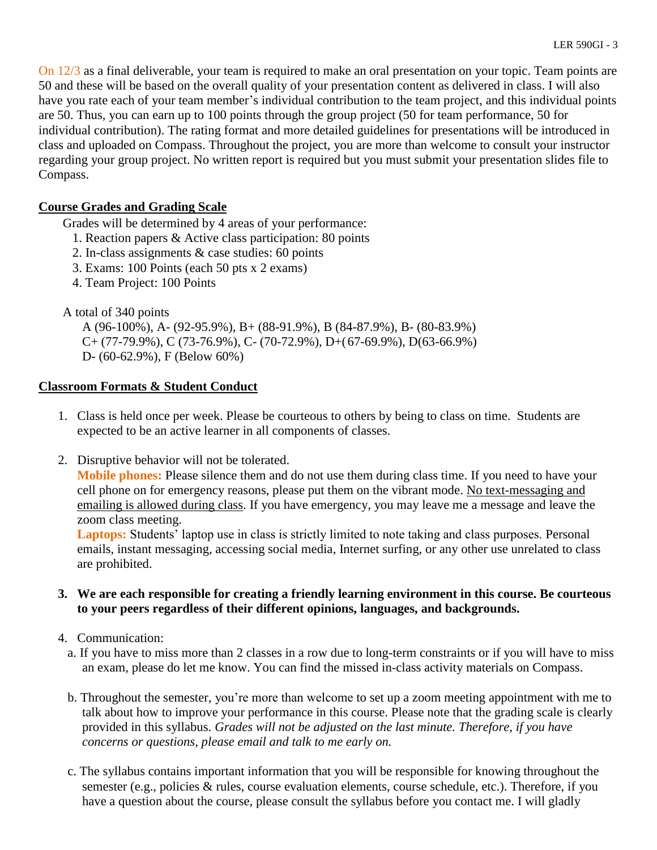On 12/3 as a final deliverable, your team is required to make an oral presentation on your topic. Team points are 50 and these will be based on the overall quality of your presentation content as delivered in class. I will also have you rate each of your team member's individual contribution to the team project, and this individual points are 50. Thus, you can earn up to 100 points through the group project (50 for team performance, 50 for individual contribution). The rating format and more detailed guidelines for presentations will be introduced in class and uploaded on Compass. Throughout the project, you are more than welcome to consult your instructor regarding your group project. No written report is required but you must submit your presentation slides file to Compass.

# **Course Grades and Grading Scale**

Grades will be determined by 4 areas of your performance:

- 1. Reaction papers & Active class participation: 80 points
- 2. In-class assignments & case studies: 60 points
- 3. Exams: 100 Points (each 50 pts x 2 exams)
- 4. Team Project: 100 Points

## A total of 340 points

A (96-100%), A- (92-95.9%), B+ (88-91.9%), B (84-87.9%), B- (80-83.9%)  $C+(77-79.9\%)$ , C (73-76.9%), C- (70-72.9%), D+(67-69.9%), D(63-66.9%) D- (60-62.9%), F (Below 60%)

## **Classroom Formats & Student Conduct**

- 1. Class is held once per week. Please be courteous to others by being to class on time. Students are expected to be an active learner in all components of classes.
- 2. Disruptive behavior will not be tolerated.

**Mobile phones:** Please silence them and do not use them during class time. If you need to have your cell phone on for emergency reasons, please put them on the vibrant mode. No text-messaging and emailing is allowed during class. If you have emergency, you may leave me a message and leave the zoom class meeting.

**Laptops:** Students' laptop use in class is strictly limited to note taking and class purposes. Personal emails, instant messaging, accessing social media, Internet surfing, or any other use unrelated to class are prohibited.

## **3. We are each responsible for creating a friendly learning environment in this course. Be courteous to your peers regardless of their different opinions, languages, and backgrounds.**

- 4. Communication:
	- a. If you have to miss more than 2 classes in a row due to long-term constraints or if you will have to miss an exam, please do let me know. You can find the missed in-class activity materials on Compass.
	- b. Throughout the semester, you're more than welcome to set up a zoom meeting appointment with me to talk about how to improve your performance in this course. Please note that the grading scale is clearly provided in this syllabus. *Grades will not be adjusted on the last minute. Therefore, if you have concerns or questions, please email and talk to me early on.*
	- c. The syllabus contains important information that you will be responsible for knowing throughout the semester (e.g., policies & rules, course evaluation elements, course schedule, etc.). Therefore, if you have a question about the course, please consult the syllabus before you contact me. I will gladly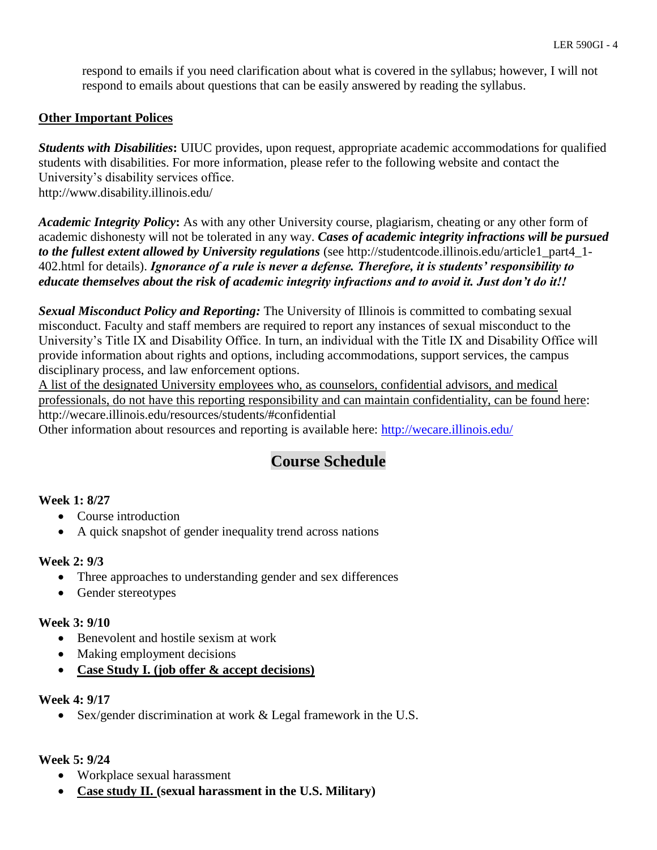respond to emails if you need clarification about what is covered in the syllabus; however, I will not respond to emails about questions that can be easily answered by reading the syllabus.

## **Other Important Polices**

*Students with Disabilities***:** UIUC provides, upon request, appropriate academic accommodations for qualified students with disabilities. For more information, please refer to the following website and contact the University's disability services office. http://www.disability.illinois.edu/

*Academic Integrity Policy***:** As with any other University course, plagiarism, cheating or any other form of academic dishonesty will not be tolerated in any way. *Cases of academic integrity infractions will be pursued to the fullest extent allowed by University regulations* (see http://studentcode.illinois.edu/article1\_part4\_1- 402.html for details). *Ignorance of a rule is never a defense. Therefore, it is students' responsibility to educate themselves about the risk of academic integrity infractions and to avoid it. Just don't do it!!*

*Sexual Misconduct Policy and Reporting:* The University of Illinois is committed to combating sexual misconduct. Faculty and staff members are required to report any instances of sexual misconduct to the University's Title IX and Disability Office. In turn, an individual with the Title IX and Disability Office will provide information about rights and options, including accommodations, support services, the campus disciplinary process, and law enforcement options.

A list of the designated University employees who, as counselors, confidential advisors, and medical professionals, do not have this reporting responsibility and can maintain confidentiality, can be found here: http://wecare.illinois.edu/resources/students/#confidential

Other information about resources and reporting is available here:<http://wecare.illinois.edu/>

# **Course Schedule**

# **Week 1: 8/27**

- Course introduction
- A quick snapshot of gender inequality trend across nations

# **Week 2: 9/3**

- Three approaches to understanding gender and sex differences
- Gender stereotypes

#### **Week 3: 9/10**

- Benevolent and hostile sexism at work
- Making employment decisions
- **Case Study I. (job offer & accept decisions)**

#### **Week 4: 9/17**

• Sex/gender discrimination at work & Legal framework in the U.S.

#### **Week 5: 9/24**

- Workplace sexual harassment
- **Case study II. (sexual harassment in the U.S. Military)**